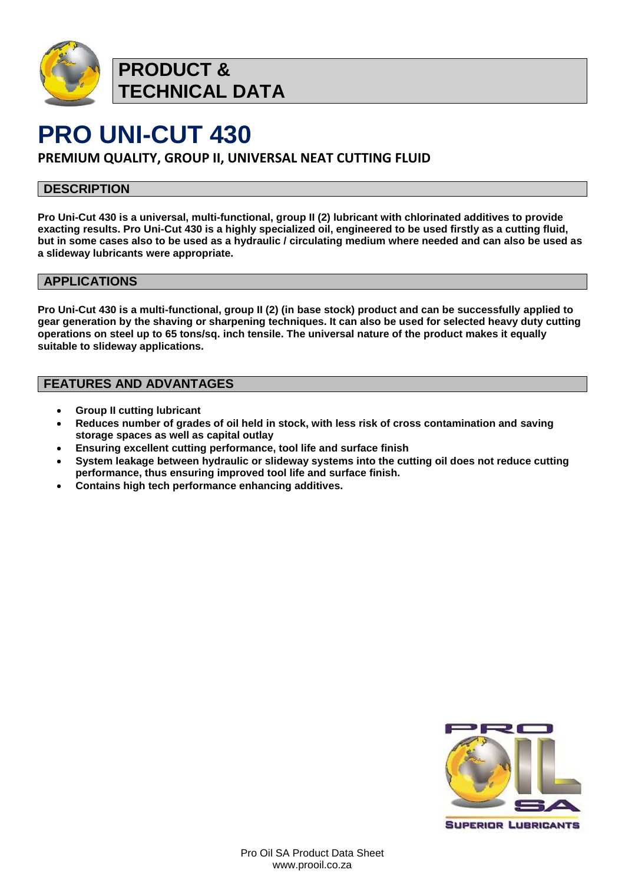

**PRODUCT & TECHNICAL DATA**

# **PRO UNI-CUT 430**

**PREMIUM QUALITY, GROUP II, UNIVERSAL NEAT CUTTING FLUID**

### **DESCRIPTION**

**Pro Uni-Cut 430 is a universal, multi-functional, group II (2) lubricant with chlorinated additives to provide exacting results. Pro Uni-Cut 430 is a highly specialized oil, engineered to be used firstly as a cutting fluid, but in some cases also to be used as a hydraulic / circulating medium where needed and can also be used as a slideway lubricants were appropriate.**

### **APPLICATIONS**

**Pro Uni-Cut 430 is a multi-functional, group II (2) (in base stock) product and can be successfully applied to gear generation by the shaving or sharpening techniques. It can also be used for selected heavy duty cutting operations on steel up to 65 tons/sq. inch tensile. The universal nature of the product makes it equally suitable to slideway applications.**

### **FEATURES AND ADVANTAGES**

- **Group II cutting lubricant**
- **Reduces number of grades of oil held in stock, with less risk of cross contamination and saving storage spaces as well as capital outlay**
- **Ensuring excellent cutting performance, tool life and surface finish**
- **System leakage between hydraulic or slideway systems into the cutting oil does not reduce cutting performance, thus ensuring improved tool life and surface finish.**
- **Contains high tech performance enhancing additives.**